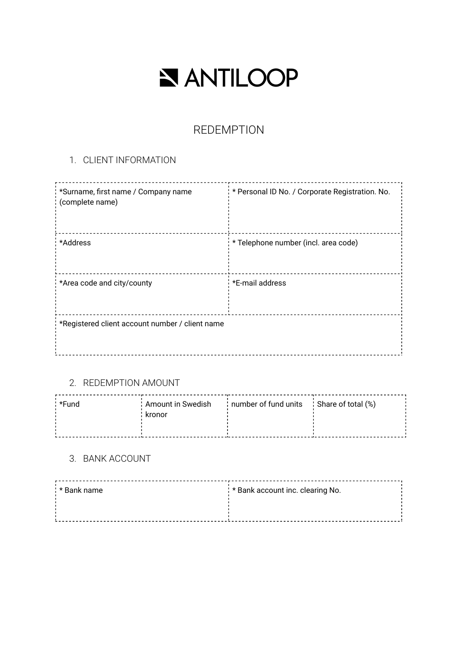# NANTILOOP

## REDEMPTION

### 1. CLIENT INFORMATION

| *Surname, first name / Company name<br>(complete name) | * Personal ID No. / Corporate Registration. No. |
|--------------------------------------------------------|-------------------------------------------------|
| *Address                                               | * Telephone number (incl. area code)            |
| *Area code and city/county                             | *E-mail address                                 |
| *Registered client account number / client name        |                                                 |

#### 2. REDEMPTION AMOUNT

| ∴*Fund | ' Amount in Swedish | : number of fund units : Share of total (%) |  |
|--------|---------------------|---------------------------------------------|--|
|        | kronor              |                                             |  |
|        |                     |                                             |  |
|        |                     |                                             |  |
|        |                     |                                             |  |

#### 3. BANK ACCOUNT

| : * Bank name | : * Bank account inc. clearing No. |
|---------------|------------------------------------|
|               |                                    |
|               |                                    |
|               |                                    |
|               |                                    |
|               |                                    |